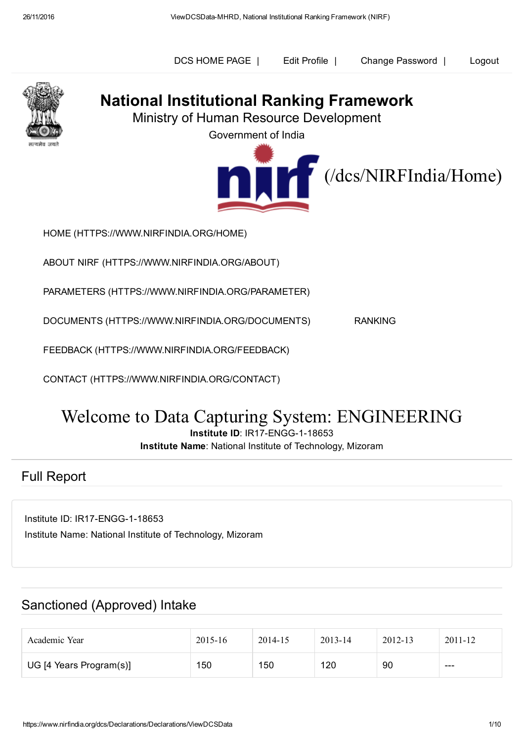Edit Profile | Change Password | DCS [HOME](https://www.nirfindia.org/dcs/DCS/DCS) PAGE | Edit [Profile](https://www.nirfindia.org/dcs/EditProfile) | Change [Password](https://www.nirfindia.org/dcs/ChangePassword) | [Logout](https://www.nirfindia.org/dcs/Logout)



# National Institutional Ranking Framework

Ministry of Human Resource Development

Government of India



HOME [\(HTTPS://WWW.NIRFINDIA.ORG/HOME\)](https://www.nirfindia.org/Home)

ABOUT NIRF [\(HTTPS://WWW.NIRFINDIA.ORG/ABOUT\)](https://www.nirfindia.org/About)

PARAMETERS [\(HTTPS://WWW.NIRFINDIA.ORG/PARAMETER\)](https://www.nirfindia.org/Parameter)

DOCUMENTS [\(HTTPS://WWW.NIRFINDIA.ORG/DOCUMENTS\)](https://www.nirfindia.org/Documents) RANKING

FEEDBACK [\(HTTPS://WWW.NIRFINDIA.ORG/FEEDBACK\)](https://www.nirfindia.org/Feedback)

CONTACT [\(HTTPS://WWW.NIRFINDIA.ORG/CONTACT\)](https://www.nirfindia.org/Contact)

# Welcome to Data Capturing System: ENGINEERING

Institute ID: IR17-ENGG-1-18653

Institute Name: National Institute of Technology, Mizoram

#### Full Report

Institute ID: IR17-ENGG-1-18653 Institute Name: National Institute of Technology, Mizoram

## Sanctioned (Approved) Intake

| Academic Year           | $2015 - 16$ | 2014-15 | 2013-14 | 2012-13 | 2011-12 |
|-------------------------|-------------|---------|---------|---------|---------|
| UG [4 Years Program(s)] | 150         | 150     | 120     | 90      | $---$   |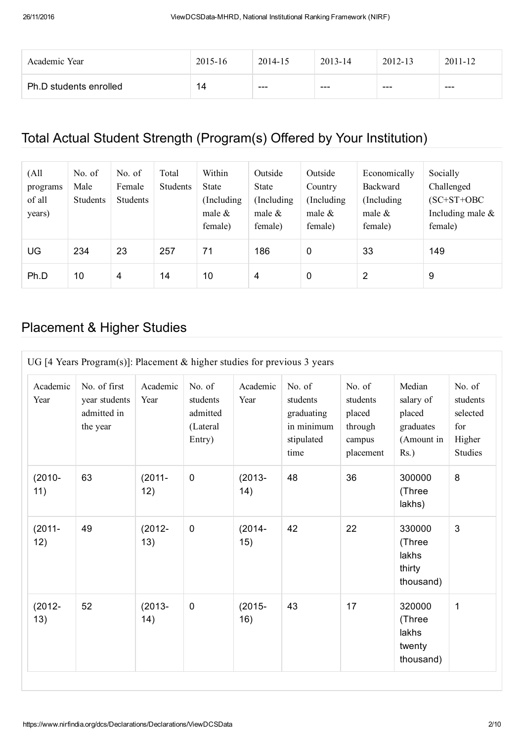| Academic Year          | 2015-16 | 2014-15 | $2013 - 14$ | 2012-13 | $2011 - 12$ |
|------------------------|---------|---------|-------------|---------|-------------|
| Ph.D students enrolled | 14      | ---     | $- - -$     | $- - -$ | $- - -$     |

## Total Actual Student Strength (Program(s) Offered by Your Institution)

| (All<br>programs<br>of all<br>years) | No. of<br>Male<br><b>Students</b> | No. of<br>Female<br><b>Students</b> | Total<br><b>Students</b> | Within<br>State<br>(Including)<br>male $\&$<br>female) | Outside<br>State<br>(Including)<br>male $\&$<br>female) | Outside<br>Country<br>(Including)<br>male $\&$<br>female) | Economically<br>Backward<br>(Including)<br>male $\&$<br>female) | Socially<br>Challenged<br>$(SC+ST+OBC$<br>Including male $\&$<br>female) |
|--------------------------------------|-----------------------------------|-------------------------------------|--------------------------|--------------------------------------------------------|---------------------------------------------------------|-----------------------------------------------------------|-----------------------------------------------------------------|--------------------------------------------------------------------------|
| UG                                   | 234                               | 23                                  | 257                      | 71                                                     | 186                                                     | $\mathbf 0$                                               | 33                                                              | 149                                                                      |
| Ph.D                                 | 10                                | $\overline{4}$                      | 14                       | 10                                                     | 4                                                       | $\mathbf 0$                                               | 2                                                               | 9                                                                        |

#### Placement & Higher Studies

| UG [4 Years Program(s)]: Placement $&$ higher studies for previous 3 years |                                                          |                   |                                                      |                  |                                                                      |                                                                |                                                                     |                                                            |  |
|----------------------------------------------------------------------------|----------------------------------------------------------|-------------------|------------------------------------------------------|------------------|----------------------------------------------------------------------|----------------------------------------------------------------|---------------------------------------------------------------------|------------------------------------------------------------|--|
| Academic<br>Year                                                           | No. of first<br>year students<br>admitted in<br>the year | Academic<br>Year  | No. of<br>students<br>admitted<br>(Lateral<br>Entry) | Academic<br>Year | No. of<br>students<br>graduating<br>in minimum<br>stipulated<br>time | No. of<br>students<br>placed<br>through<br>campus<br>placement | Median<br>salary of<br>placed<br>graduates<br>(Amount in<br>$Rs.$ ) | No. of<br>students<br>selected<br>for<br>Higher<br>Studies |  |
| $(2010 -$<br>11)                                                           | 63                                                       | $(2011 -$<br>12)  | $\mathbf 0$                                          | $(2013 -$<br>14) | 48                                                                   | 36                                                             | 300000<br>(Three<br>lakhs)                                          | 8                                                          |  |
| $(2011 -$<br>12)                                                           | 49                                                       | $(2012 -$<br>13)  | $\mathbf 0$                                          | $(2014 -$<br>15) | 42                                                                   | 22                                                             | 330000<br>(Three<br>lakhs<br>thirty<br>thousand)                    | 3                                                          |  |
| $(2012 -$<br>13)                                                           | 52                                                       | $(2013 -$<br>(14) | $\mathbf 0$                                          | $(2015 -$<br>16) | 43                                                                   | 17                                                             | 320000<br>(Three<br>lakhs<br>twenty<br>thousand)                    | 1                                                          |  |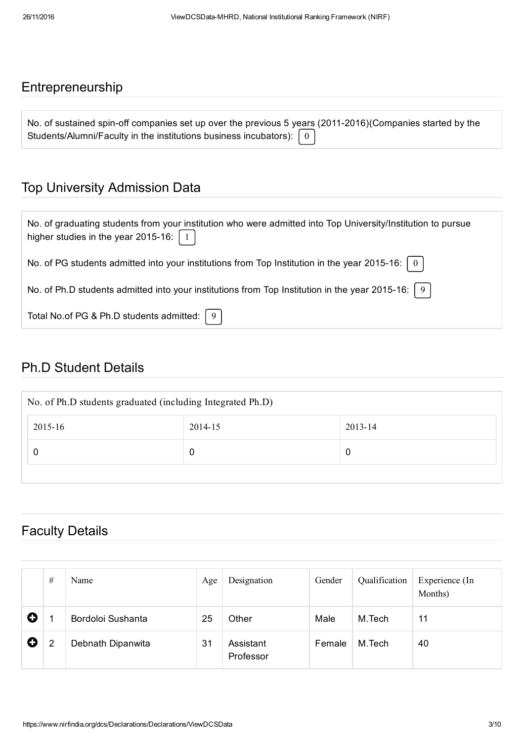#### Entrepreneurship

| No. of sustained spin-off companies set up over the previous 5 years (2011-2016) (Companies started by the |  |
|------------------------------------------------------------------------------------------------------------|--|
| Students/Alumni/Faculty in the institutions business incubators): $\begin{bmatrix} 0 \end{bmatrix}$        |  |

#### Top University Admission Data

| No. of graduating students from your institution who were admitted into Top University/Institution to pursue<br>higher studies in the year 2015-16: $\begin{bmatrix} 1 \end{bmatrix}$ |
|---------------------------------------------------------------------------------------------------------------------------------------------------------------------------------------|
| No. of PG students admitted into your institutions from Top Institution in the year 2015-16: $\mid 0 \mid$                                                                            |
| No. of Ph.D students admitted into your institutions from Top Institution in the year 2015-16: $\mid 9 \mid$                                                                          |
| Total No.of PG & Ph.D students admitted: $\vert 9 \vert$                                                                                                                              |

#### Ph.D Student Details

| No. of Ph.D students graduated (including Integrated Ph.D) |         |         |  |  |  |  |  |
|------------------------------------------------------------|---------|---------|--|--|--|--|--|
| 2015-16                                                    | 2014-15 | 2013-14 |  |  |  |  |  |
|                                                            | 0       | 0       |  |  |  |  |  |
|                                                            |         |         |  |  |  |  |  |

#### Faculty Details

|   | # | Name              | Age | Designation            | Gender | Qualification | Experience (In<br>Months) |
|---|---|-------------------|-----|------------------------|--------|---------------|---------------------------|
| O |   | Bordoloi Sushanta | 25  | Other                  | Male   | M.Tech        | 11                        |
| O | 2 | Debnath Dipanwita | 31  | Assistant<br>Professor | Female | M.Tech        | 40                        |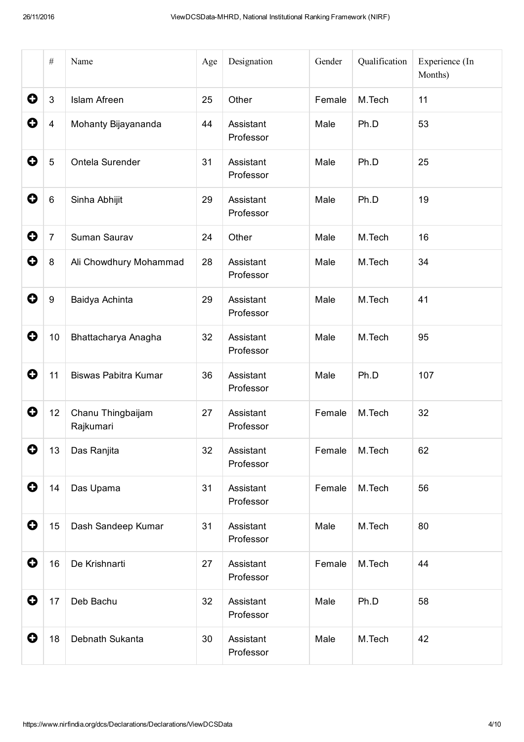|           | $\#$             | Name                           | Age | Designation            | Gender | Qualification | Experience (In<br>Months) |
|-----------|------------------|--------------------------------|-----|------------------------|--------|---------------|---------------------------|
| 0         | $\mathbf{3}$     | <b>Islam Afreen</b>            | 25  | Other                  | Female | M.Tech        | 11                        |
| 0         | 4                | Mohanty Bijayananda            | 44  | Assistant<br>Professor | Male   | Ph.D          | 53                        |
| 0         | $\overline{5}$   | Ontela Surender                | 31  | Assistant<br>Professor | Male   | Ph.D          | 25                        |
| 0         | 6                | Sinha Abhijit                  | 29  | Assistant<br>Professor | Male   | Ph.D          | 19                        |
| 0         | $\overline{7}$   | Suman Saurav                   | 24  | Other                  | Male   | M.Tech        | 16                        |
| O         | $\,8\,$          | Ali Chowdhury Mohammad         | 28  | Assistant<br>Professor | Male   | M.Tech        | 34                        |
| 0         | $\boldsymbol{9}$ | Baidya Achinta                 | 29  | Assistant<br>Professor | Male   | M.Tech        | 41                        |
| 0         | 10               | Bhattacharya Anagha            | 32  | Assistant<br>Professor | Male   | M.Tech        | 95                        |
| 0         | 11               | Biswas Pabitra Kumar           | 36  | Assistant<br>Professor | Male   | Ph.D          | 107                       |
| 0         | 12               | Chanu Thingbaijam<br>Rajkumari | 27  | Assistant<br>Professor | Female | M.Tech        | 32                        |
| 0         | 13               | Das Ranjita                    | 32  | Assistant<br>Professor | Female | M.Tech        | 62                        |
| $\bullet$ | 14               | Das Upama                      | 31  | Assistant<br>Professor | Female | M.Tech        | 56                        |
| $\bullet$ | 15               | Dash Sandeep Kumar             | 31  | Assistant<br>Professor | Male   | M.Tech        | 80                        |
| 0         | 16               | De Krishnarti                  | 27  | Assistant<br>Professor | Female | M.Tech        | 44                        |
| $\bullet$ | 17               | Deb Bachu                      | 32  | Assistant<br>Professor | Male   | Ph.D          | 58                        |
| 0         | 18               | Debnath Sukanta                | 30  | Assistant<br>Professor | Male   | M.Tech        | 42                        |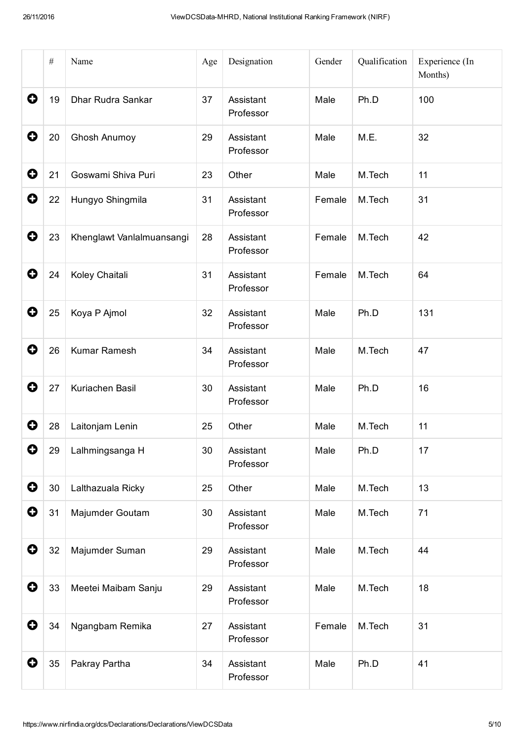|           | $\#$ | Name                      | Age | Designation            | Gender | Qualification | Experience (In<br>Months) |
|-----------|------|---------------------------|-----|------------------------|--------|---------------|---------------------------|
| 0         | 19   | Dhar Rudra Sankar         | 37  | Assistant<br>Professor | Male   | Ph.D          | 100                       |
| 0         | 20   | <b>Ghosh Anumoy</b>       | 29  | Assistant<br>Professor | Male   | M.E.          | 32                        |
| 0         | 21   | Goswami Shiva Puri        | 23  | Other                  | Male   | M.Tech        | 11                        |
| 0         | 22   | Hungyo Shingmila          | 31  | Assistant<br>Professor | Female | M.Tech        | 31                        |
| 0         | 23   | Khenglawt Vanlalmuansangi | 28  | Assistant<br>Professor | Female | M.Tech        | 42                        |
| 0         | 24   | Koley Chaitali            | 31  | Assistant<br>Professor | Female | M.Tech        | 64                        |
| 0         | 25   | Koya P Ajmol              | 32  | Assistant<br>Professor | Male   | Ph.D          | 131                       |
| 0         | 26   | Kumar Ramesh              | 34  | Assistant<br>Professor | Male   | M.Tech        | 47                        |
| 0         | 27   | Kuriachen Basil           | 30  | Assistant<br>Professor | Male   | Ph.D          | 16                        |
| O         | 28   | Laitonjam Lenin           | 25  | Other                  | Male   | M.Tech        | 11                        |
| 0         | 29   | Lalhmingsanga H           | 30  | Assistant<br>Professor | Male   | Ph.D          | 17                        |
| $\bullet$ | 30   | Lalthazuala Ricky         | 25  | Other                  | Male   | M.Tech        | 13                        |
| 0         | 31   | Majumder Goutam           | 30  | Assistant<br>Professor | Male   | M.Tech        | 71                        |
| $\bullet$ | 32   | Majumder Suman            | 29  | Assistant<br>Professor | Male   | M.Tech        | 44                        |
| 0         | 33   | Meetei Maibam Sanju       | 29  | Assistant<br>Professor | Male   | M.Tech        | 18                        |
| 0         | 34   | Ngangbam Remika           | 27  | Assistant<br>Professor | Female | M.Tech        | 31                        |
| 0         | 35   | Pakray Partha             | 34  | Assistant<br>Professor | Male   | Ph.D          | 41                        |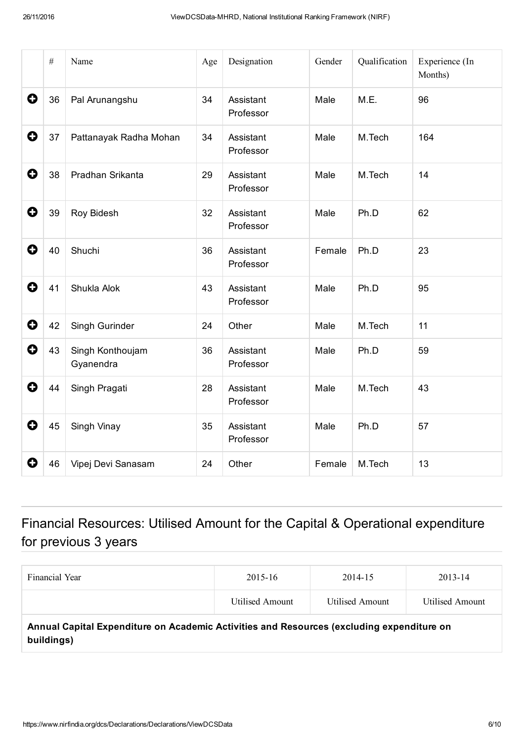|           | $\#$ | Name                          | Age | Designation            | Gender | Qualification | Experience (In<br>Months) |
|-----------|------|-------------------------------|-----|------------------------|--------|---------------|---------------------------|
| 0         | 36   | Pal Arunangshu                | 34  | Assistant<br>Professor | Male   | M.E.          | 96                        |
| 0         | 37   | Pattanayak Radha Mohan        | 34  | Assistant<br>Professor | Male   | M.Tech        | 164                       |
| $\bullet$ | 38   | Pradhan Srikanta              | 29  | Assistant<br>Professor | Male   | M.Tech        | 14                        |
| 0         | 39   | Roy Bidesh                    | 32  | Assistant<br>Professor | Male   | Ph.D          | 62                        |
| O         | 40   | Shuchi                        | 36  | Assistant<br>Professor | Female | Ph.D          | 23                        |
| 0         | 41   | Shukla Alok                   | 43  | Assistant<br>Professor | Male   | Ph.D          | 95                        |
| 0         | 42   | Singh Gurinder                | 24  | Other                  | Male   | M.Tech        | 11                        |
| O         | 43   | Singh Konthoujam<br>Gyanendra | 36  | Assistant<br>Professor | Male   | Ph.D          | 59                        |
| O         | 44   | Singh Pragati                 | 28  | Assistant<br>Professor | Male   | M.Tech        | 43                        |
| 0         | 45   | Singh Vinay                   | 35  | Assistant<br>Professor | Male   | Ph.D          | 57                        |
| 0         | 46   | Vipej Devi Sanasam            | 24  | Other                  | Female | M.Tech        | 13                        |

## Financial Resources: Utilised Amount for the Capital & Operational expenditure for previous 3 years

| Financial Year                                                                                          | 2015-16         | 2014-15         | 2013-14         |
|---------------------------------------------------------------------------------------------------------|-----------------|-----------------|-----------------|
|                                                                                                         | Utilised Amount | Utilised Amount | Utilised Amount |
| Annual Capital Expenditure on Academic Activities and Resources (excluding expenditure on<br>buildings) |                 |                 |                 |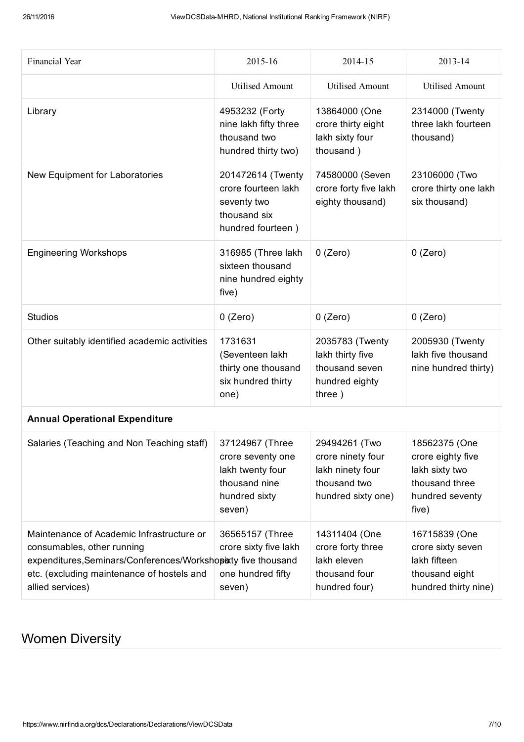| Financial Year                                                                                                                                                                                             | 2015-16                                                                                              | 2014-15                                                                                      | 2013-14                                                                                            |
|------------------------------------------------------------------------------------------------------------------------------------------------------------------------------------------------------------|------------------------------------------------------------------------------------------------------|----------------------------------------------------------------------------------------------|----------------------------------------------------------------------------------------------------|
|                                                                                                                                                                                                            | <b>Utilised Amount</b>                                                                               | <b>Utilised Amount</b>                                                                       | <b>Utilised Amount</b>                                                                             |
| Library                                                                                                                                                                                                    | 4953232 (Forty<br>nine lakh fifty three<br>thousand two<br>hundred thirty two)                       | 13864000 (One<br>crore thirty eight<br>lakh sixty four<br>thousand)                          | 2314000 (Twenty<br>three lakh fourteen<br>thousand)                                                |
| New Equipment for Laboratories                                                                                                                                                                             | 201472614 (Twenty<br>crore fourteen lakh<br>seventy two<br>thousand six<br>hundred fourteen)         | 74580000 (Seven<br>crore forty five lakh<br>eighty thousand)                                 | 23106000 (Two<br>crore thirty one lakh<br>six thousand)                                            |
| <b>Engineering Workshops</b>                                                                                                                                                                               | 316985 (Three lakh<br>sixteen thousand<br>nine hundred eighty<br>five)                               | $0$ (Zero)                                                                                   | $0$ (Zero)                                                                                         |
| <b>Studios</b>                                                                                                                                                                                             | $0$ (Zero)                                                                                           | $0$ (Zero)                                                                                   | $0$ (Zero)                                                                                         |
| Other suitably identified academic activities                                                                                                                                                              | 1731631<br>(Seventeen lakh<br>thirty one thousand<br>six hundred thirty<br>one)                      | 2035783 (Twenty<br>lakh thirty five<br>thousand seven<br>hundred eighty<br>three)            | 2005930 (Twenty<br>lakh five thousand<br>nine hundred thirty)                                      |
| <b>Annual Operational Expenditure</b>                                                                                                                                                                      |                                                                                                      |                                                                                              |                                                                                                    |
| Salaries (Teaching and Non Teaching staff)                                                                                                                                                                 | 37124967 (Three<br>crore seventy one<br>lakh twenty four<br>thousand nine<br>hundred sixty<br>seven) | 29494261 (Two<br>crore ninety four<br>lakh ninety four<br>thousand two<br>hundred sixty one) | 18562375 (One<br>crore eighty five<br>lakh sixty two<br>thousand three<br>hundred seventy<br>five) |
| Maintenance of Academic Infrastructure or<br>consumables, other running<br>expenditures, Seminars/Conferences/Workshopixty five thousand<br>etc. (excluding maintenance of hostels and<br>allied services) | 36565157 (Three<br>crore sixty five lakh<br>one hundred fifty<br>seven)                              | 14311404 (One<br>crore forty three<br>lakh eleven<br>thousand four<br>hundred four)          | 16715839 (One<br>crore sixty seven<br>lakh fifteen<br>thousand eight<br>hundred thirty nine)       |

## Women Diversity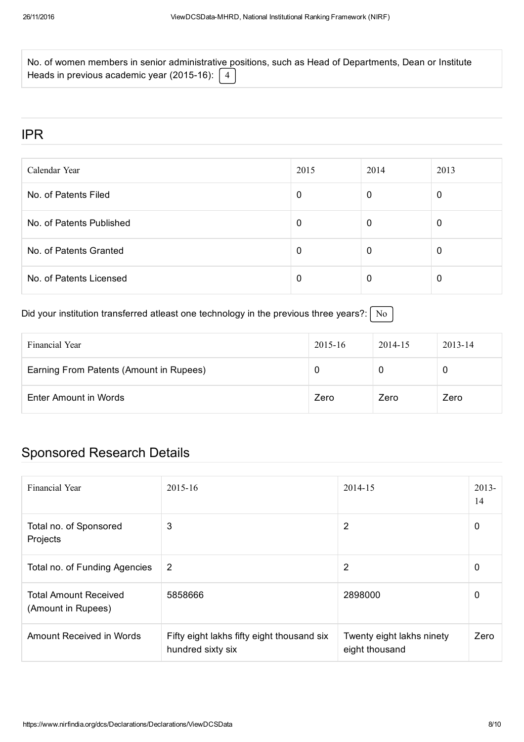| No. of women members in senior administrative positions, such as Head of Departments, Dean or Institute |  |  |
|---------------------------------------------------------------------------------------------------------|--|--|
| Heads in previous academic year (2015-16): $\begin{bmatrix} 4 \end{bmatrix}$                            |  |  |

#### IPR

| Calendar Year            | 2015 | 2014 | 2013 |
|--------------------------|------|------|------|
| No. of Patents Filed     | 0    | 0    | 0    |
| No. of Patents Published | 0    | 0    | U    |
| No. of Patents Granted   | 0    | 0    |      |
| No. of Patents Licensed  | 0    | 0    |      |

#### Did your institution transferred atleast one technology in the previous three years?:  $\sqrt{\frac{N_o}{N_o}}$

| Financial Year                          | 2015-16 | 2014-15 | $2013 - 14$ |
|-----------------------------------------|---------|---------|-------------|
| Earning From Patents (Amount in Rupees) |         |         | 0           |
| Enter Amount in Words                   | Zero    | Zero    | Zero        |

# Sponsored Research Details

| Financial Year                                     | $2015 - 16$                                                     | 2014-15                                     | $2013 -$<br>14 |
|----------------------------------------------------|-----------------------------------------------------------------|---------------------------------------------|----------------|
| Total no. of Sponsored<br>Projects                 | 3                                                               | $\overline{2}$                              | 0              |
| Total no. of Funding Agencies                      | $\overline{2}$                                                  | 2                                           | 0              |
| <b>Total Amount Received</b><br>(Amount in Rupees) | 5858666                                                         | 2898000                                     | 0              |
| Amount Received in Words                           | Fifty eight lakhs fifty eight thousand six<br>hundred sixty six | Twenty eight lakhs ninety<br>eight thousand | Zero           |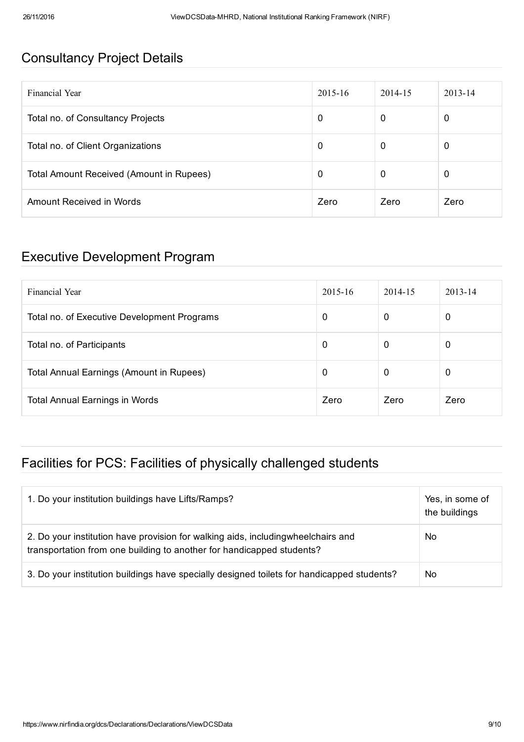#### Consultancy Project Details

| Financial Year                           | $2015 - 16$ | 2014-15 | $2013 - 14$ |
|------------------------------------------|-------------|---------|-------------|
| Total no. of Consultancy Projects        | 0           | 0       | 0           |
| Total no. of Client Organizations        | 0           | 0       | 0           |
| Total Amount Received (Amount in Rupees) | 0           | 0       | 0           |
| Amount Received in Words                 | Zero        | Zero    | Zero        |

#### Executive Development Program

| Financial Year                                  | $2015 - 16$ | 2014-15      | $2013 - 14$ |
|-------------------------------------------------|-------------|--------------|-------------|
| Total no. of Executive Development Programs     | 0           | 0            | 0           |
| Total no. of Participants                       | 0           | $\mathbf{0}$ | 0           |
| <b>Total Annual Earnings (Amount in Rupees)</b> | 0           | $\mathbf 0$  | 0           |
| <b>Total Annual Earnings in Words</b>           | Zero        | Zero         | Zero        |

#### Facilities for PCS: Facilities of physically challenged students

| 1. Do your institution buildings have Lifts/Ramps?                                                                                                         | Yes, in some of<br>the buildings |
|------------------------------------------------------------------------------------------------------------------------------------------------------------|----------------------------------|
| 2. Do your institution have provision for walking aids, including wheelchairs and<br>transportation from one building to another for handicapped students? | No                               |
| 3. Do your institution buildings have specially designed toilets for handicapped students?                                                                 | No                               |